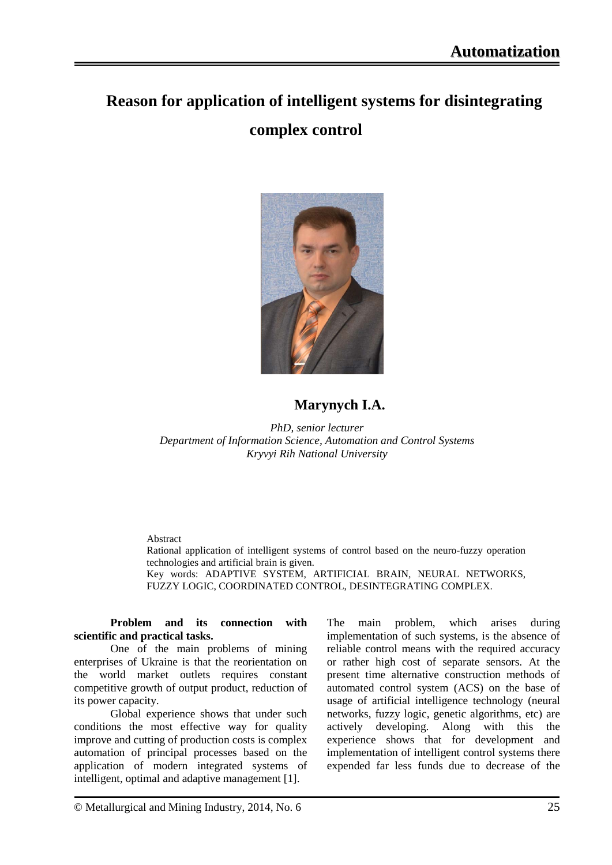## **Reason for application of intelligent systems for disintegrating complex control**



## **Marynych I.A.**

*PhD, senior lecturer Department of Information Science, Automation and Control Systems Kryvyi Rih National University*

Abstract

Rational application of intelligent systems of control based on the neuro-fuzzy operation technologies and artificial brain is given. Key words: ADAPTIVE SYSTEM, ARTIFICIAL BRAIN, NEURAL NETWORKS, FUZZY LOGIC, COORDINATED CONTROL, DESINTEGRATING COMPLEX.

**Problem and its connection with scientific and practical tasks.** 

One of the main problems of mining enterprises of Ukraine is that the reorientation on the world market outlets requires constant competitive growth of output product, reduction of its power capacity.

Global experience shows that under such conditions the most effective way for quality improve and cutting of production costs is complex automation of principal processes based on the application of modern integrated systems of intelligent, optimal and adaptive management [1].

The main problem, which arises during implementation of such systems, is the absence of reliable control means with the required accuracy or rather high cost of separate sensors. At the present time alternative construction methods of automated control system (ACS) on the base of usage of artificial intelligence technology (neural networks, fuzzy logic, genetic algorithms, etc) are actively developing. Along with this the experience shows that for development and implementation of intelligent control systems there expended far less funds due to decrease of the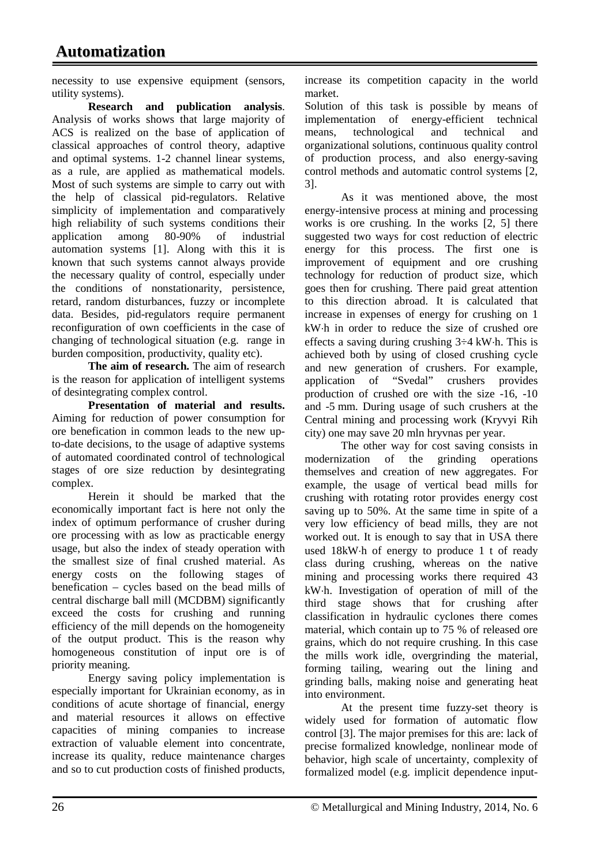necessity to use expensive equipment (sensors, utility systems).

**Research and publication analysis**. Analysis of works shows that large majority of ACS is realized on the base of application of classical approaches of control theory, adaptive and optimal systems. 1-2 channel linear systems, as a rule, are applied as mathematical models. Most of such systems are simple to carry out with the help of classical pid-regulators. Relative simplicity of implementation and comparatively high reliability of such systems conditions their application among 80-90% of industrial automation systems [1]. Along with this it is known that such systems cannot always provide the necessary quality of control, especially under the conditions of nonstationarity, persistence, retard, random disturbances, fuzzy or incomplete data. Besides, pid-regulators require permanent reconfiguration of own coefficients in the case of changing of technological situation (e.g. range in burden composition, productivity, quality etc).

**The aim of research.** The aim of research is the reason for application of intelligent systems of desintegrating complex control.

**Presentation of material and results.** Aiming for reduction of power consumption for ore benefication in common leads to the new upto-date decisions, to the usage of adaptive systems of automated coordinated control of technological stages of ore size reduction by desintegrating complex.

Herein it should be marked that the economically important fact is here not only the index of optimum performance of crusher during ore processing with as low as practicable energy usage, but also the index of steady operation with the smallest size of final crushed material. As energy costs on the following stages of benefication – cycles based on the bead mills of central discharge ball mill (MCDBM) significantly exceed the costs for crushing and running efficiency of the mill depends on the homogeneity of the output product. This is the reason why homogeneous constitution of input ore is of priority meaning.

Energy saving policy implementation is especially important for Ukrainian economy, as in conditions of acute shortage of financial, energy and material resources it allows on effective capacities of mining companies to increase extraction of valuable element into concentrate, increase its quality, reduce maintenance charges and so to cut production costs of finished products, increase its competition capacity in the world market.

Solution of this task is possible by means of implementation of energy-efficient technical means, technological and technical and organizational solutions, continuous quality control of production process, and also energy-saving control methods and automatic control systems [2, 3].

As it was mentioned above, the most energy-intensive process at mining and processing works is ore crushing. In the works [2, 5] there suggested two ways for cost reduction of electric energy for this process. The first one is improvement of equipment and ore crushing technology for reduction of product size, which goes then for crushing. There paid great attention to this direction abroad. It is calculated that increase in expenses of energy for crushing on 1 kW⋅h in order to reduce the size of crushed ore effects a saving during crushing 3÷4 kW⋅h. This is achieved both by using of closed crushing cycle and new generation of crushers. For example, application of "Svedal" crushers provides production of crushed ore with the size -16, -10 and -5 mm. During usage of such crushers at the Central mining and processing work (Kryvyi Rih city) one may save 20 mln hryvnas per year.

The other way for cost saving consists in modernization of the grinding operations themselves and creation of new aggregates. For example, the usage of vertical bead mills for crushing with rotating rotor provides energy cost saving up to 50%. At the same time in spite of a very low efficiency of bead mills, they are not worked out. It is enough to say that in USA there used 18kW⋅h of energy to produce 1 t of ready class during crushing, whereas on the native mining and processing works there required 43 kW⋅h. Investigation of operation of mill of the third stage shows that for crushing after classification in hydraulic cyclones there comes material, which contain up to 75 % of released ore grains, which do not require crushing. In this case the mills work idle, overgrinding the material, forming tailing, wearing out the lining and grinding balls, making noise and generating heat into environment.

At the present time fuzzy-set theory is widely used for formation of automatic flow control [3]. The major premises for this are: lack of precise formalized knowledge, nonlinear mode of behavior, high scale of uncertainty, complexity of formalized model (e.g. implicit dependence input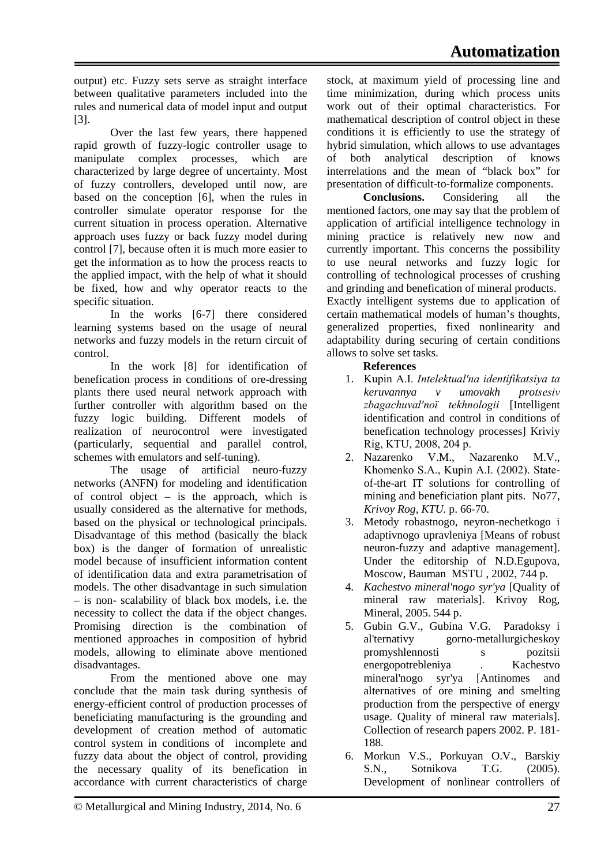output) etc. Fuzzy sets serve as straight interface between qualitative parameters included into the rules and numerical data of model input and output [3].

Over the last few years, there happened rapid growth of fuzzy-logic controller usage to manipulate complex processes, which are characterized by large degree of uncertainty. Most of fuzzy controllers, developed until now, are based on the conception [6], when the rules in controller simulate operator response for the current situation in process operation. Alternative approach uses fuzzy or back fuzzy model during control [7], because often it is much more easier to get the information as to how the process reacts to the applied impact, with the help of what it should be fixed, how and why operator reacts to the specific situation.

In the works [6-7] there considered learning systems based on the usage of neural networks and fuzzy models in the return circuit of control.

In the work [8] for identification of benefication process in conditions of ore-dressing plants there used neural network approach with further controller with algorithm based on the fuzzy logic building. Different models of realization of neurocontrol were investigated (particularly, sequential and parallel control, schemes with emulators and self-tuning).

The usage of artificial neuro-fuzzy networks (ANFN) for modeling and identification of control object – is the approach, which is usually considered as the alternative for methods, based on the physical or technological principals. Disadvantage of this method (basically the black box) is the danger of formation of unrealistic model because of insufficient information content of identification data and extra parametrisation of models. The other disadvantage in such simulation – is non- scalability of black box models, i.e. the necessity to collect the data if the object changes. Promising direction is the combination of mentioned approaches in composition of hybrid models, allowing to eliminate above mentioned disadvantages.

From the mentioned above one may conclude that the main task during synthesis of energy-efficient control of production processes of beneficiating manufacturing is the grounding and development of creation method of automatic control system in conditions of incomplete and fuzzy data about the object of control, providing the necessary quality of its benefication in accordance with current characteristics of charge stock, at maximum yield of processing line and time minimization, during which process units work out of their optimal characteristics. For mathematical description of control object in these conditions it is efficiently to use the strategy of hybrid simulation, which allows to use advantages of both analytical description of knows interrelations and the mean of "black box" for presentation of difficult-to[-formalize](http://www.multitran.ru/c/m.exe?a=118&t=133599_1_2) components.

**Conclusions.** Considering all the mentioned factors, one may say that the problem of application of artificial intelligence technology in mining practice is relatively new now and currently important. This concerns the possibility to use neural networks and fuzzy logic for controlling of technological processes of crushing and grinding and benefication of mineral products. Exactly intelligent systems due to application of certain mathematical models of human's thoughts, generalized properties, fixed nonlinearity and adaptability during securing of certain conditions allows to solve set tasks.

## **References**

- 1. Kupіn A.І. *Іntelektual'na іdentifіkatsіya ta keruvannya v umovakh protsesіv zbagachuval'noї tekhnologіi* [Intelligent identification and control in conditions of benefication technology processes] Kriviy Rіg, KTU, 2008, 204 p.
- 2. Nazarenko V.M., Nazarenko M.V., Khomenko S.A., Kupіn A.І. (2002). Stateof-the-art IT solutions for controlling of mining and beneficiation plant pits. No77, *Krivoy Rog, KTU.* p. 66-70.
- 3. Metody robastnogo, neyron-nechetkogo i adaptivnogo upravleniya [Means of robust neuron-fuzzy and adaptive management]. Under the editorship of N.D.Egupova, Moscow, Bauman MSTU , 2002, 744 p.
- 4. *Kachestvo mineral'nogo syr'ya* [Quality of mineral raw materials]. Krivoy Rog, Mineral, 2005. 544 p.
- 5. Gubin G.V., Gubina V.G. Paradoksy i al'ternativy gorno-metallurgicheskoy<br>promyshlennosti s pozitsii promyshlennosti s energopotrebleniya . Kachestvo mineral'nogo syr'ya [Antinomes and alternatives of ore mining and smelting production from the perspective of energy usage. Quality of mineral raw materials]. Collection of research papers 2002. P. 181- 188.
- 6. Morkun V.S., Porkuyan O.V., Barskiy S.N., Sotnikova T.G. (2005). Development of nonlinear controllers of